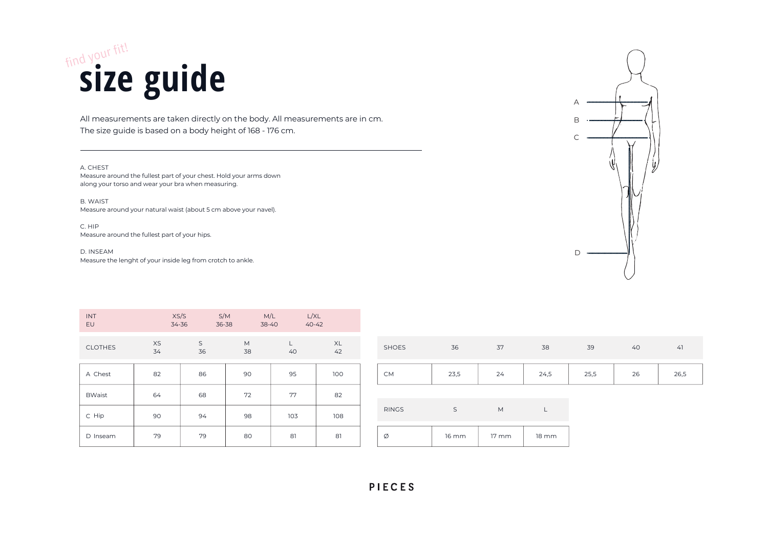## All measurements are taken directly on the body. All measurements are in cm.

### PIECES

The size guide is based on a body height of 168 - 176 cm.

### A. CHEST

C. HIP Measure around the fullest part of your hips.

| SHOES         | 36           | 37    | 38           |
|---------------|--------------|-------|--------------|
| CM            | 23,5         | 24    | 24,5         |
|               |              |       |              |
| RINGS         | S            | M     |              |
| $\varnothing$ | <b>16 mm</b> | 17 mm | <b>18 mm</b> |

D. INSEAM Measure the lenght of your inside leg from crotch to ankle.

| 39   | 40 | 41   |
|------|----|------|
| 25,5 | 26 | 26,5 |

B. WAIST Measure around your natural waist (about 5 cm above your navel).

| INT<br>EU        | XS/S<br>34-36 | 36-38   | S/M<br>38-40 | M/L | L/XL<br>$40 - 42$ |             |
|------------------|---------------|---------|--------------|-----|-------------------|-------------|
| CLOTHES          | XS<br>34      | S<br>36 | M<br>38      | 40  | XL<br>42          | SI          |
| A Chest          | 82            | 86      | 90           | 95  | 100               |             |
| <b>BWaist</b>    | 64            | 68      | 72           | 77  | 82                |             |
| C Hip            | 90            | 94      | 98           | 103 | 108               | R           |
| $\Box$<br>Inseam | 79            | 79      | 80           | 81  | 81                | $\emptyset$ |

Measure around the fullest part of your chest. Hold your arms down along your torso and wear your bra when measuring.

# find your fit! **size guide**